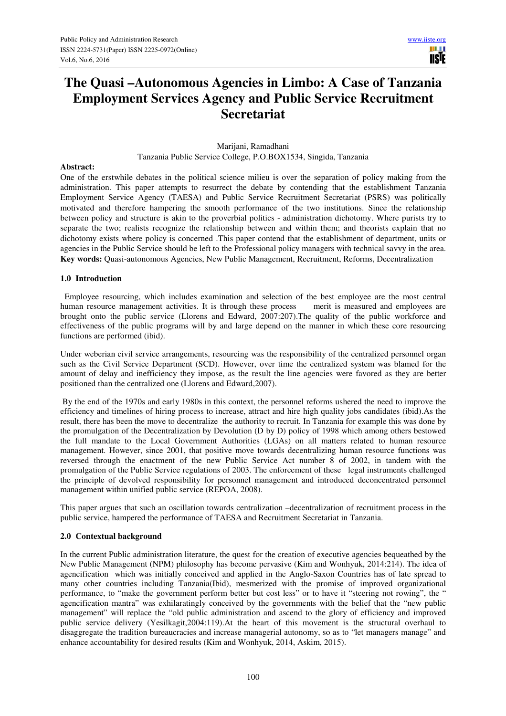# **The Quasi –Autonomous Agencies in Limbo: A Case of Tanzania Employment Services Agency and Public Service Recruitment Secretariat**

Marijani, Ramadhani Tanzania Public Service College, P.O.BOX1534, Singida, Tanzania

## **Abstract:**

One of the erstwhile debates in the political science milieu is over the separation of policy making from the administration. This paper attempts to resurrect the debate by contending that the establishment Tanzania Employment Service Agency (TAESA) and Public Service Recruitment Secretariat (PSRS) was politically motivated and therefore hampering the smooth performance of the two institutions. Since the relationship between policy and structure is akin to the proverbial politics - administration dichotomy. Where purists try to separate the two; realists recognize the relationship between and within them; and theorists explain that no dichotomy exists where policy is concerned .This paper contend that the establishment of department, units or agencies in the Public Service should be left to the Professional policy managers with technical savvy in the area. **Key words:** Quasi-autonomous Agencies, New Public Management, Recruitment, Reforms, Decentralization

# **1.0 Introduction**

 Employee resourcing, which includes examination and selection of the best employee are the most central human resource management activities. It is through these process merit is measured and employees are brought onto the public service (Llorens and Edward, 2007:207).The quality of the public workforce and effectiveness of the public programs will by and large depend on the manner in which these core resourcing functions are performed (ibid).

Under weberian civil service arrangements, resourcing was the responsibility of the centralized personnel organ such as the Civil Service Department (SCD). However, over time the centralized system was blamed for the amount of delay and inefficiency they impose, as the result the line agencies were favored as they are better positioned than the centralized one (Llorens and Edward,2007).

 By the end of the 1970s and early 1980s in this context, the personnel reforms ushered the need to improve the efficiency and timelines of hiring process to increase, attract and hire high quality jobs candidates (ibid).As the result, there has been the move to decentralize the authority to recruit. In Tanzania for example this was done by the promulgation of the Decentralization by Devolution (D by D) policy of 1998 which among others bestowed the full mandate to the Local Government Authorities (LGAs) on all matters related to human resource management. However, since 2001, that positive move towards decentralizing human resource functions was reversed through the enactment of the new Public Service Act number 8 of 2002, in tandem with the promulgation of the Public Service regulations of 2003. The enforcement of these legal instruments challenged the principle of devolved responsibility for personnel management and introduced deconcentrated personnel management within unified public service (REPOA, 2008).

This paper argues that such an oscillation towards centralization –decentralization of recruitment process in the public service, hampered the performance of TAESA and Recruitment Secretariat in Tanzania.

# **2.0 Contextual background**

In the current Public administration literature, the quest for the creation of executive agencies bequeathed by the New Public Management (NPM) philosophy has become pervasive (Kim and Wonhyuk, 2014:214). The idea of agencification which was initially conceived and applied in the Anglo-Saxon Countries has of late spread to many other countries including Tanzania(Ibid), mesmerized with the promise of improved organizational performance, to "make the government perform better but cost less" or to have it "steering not rowing", the " agencification mantra" was exhilaratingly conceived by the governments with the belief that the "new public management" will replace the "old public administration and ascend to the glory of efficiency and improved public service delivery (Yesilkagit,2004:119).At the heart of this movement is the structural overhaul to disaggregate the tradition bureaucracies and increase managerial autonomy, so as to "let managers manage" and enhance accountability for desired results (Kim and Wonhyuk, 2014, Askim, 2015).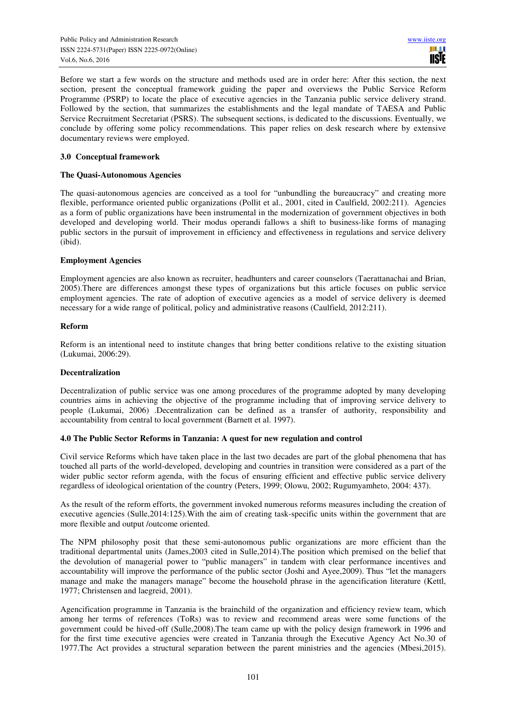Before we start a few words on the structure and methods used are in order here: After this section, the next section, present the conceptual framework guiding the paper and overviews the Public Service Reform Programme (PSRP) to locate the place of executive agencies in the Tanzania public service delivery strand. Followed by the section, that summarizes the establishments and the legal mandate of TAESA and Public Service Recruitment Secretariat (PSRS). The subsequent sections, is dedicated to the discussions. Eventually, we conclude by offering some policy recommendations. This paper relies on desk research where by extensive documentary reviews were employed.

# **3.0 Conceptual framework**

## **The Quasi-Autonomous Agencies**

The quasi-autonomous agencies are conceived as a tool for "unbundling the bureaucracy" and creating more flexible, performance oriented public organizations (Pollit et al., 2001, cited in Caulfield, 2002:211). Agencies as a form of public organizations have been instrumental in the modernization of government objectives in both developed and developing world. Their modus operandi fallows a shift to business-like forms of managing public sectors in the pursuit of improvement in efficiency and effectiveness in regulations and service delivery (ibid).

## **Employment Agencies**

Employment agencies are also known as recruiter, headhunters and career counselors (Taerattanachai and Brian, 2005).There are differences amongst these types of organizations but this article focuses on public service employment agencies. The rate of adoption of executive agencies as a model of service delivery is deemed necessary for a wide range of political, policy and administrative reasons (Caulfield, 2012:211).

## **Reform**

Reform is an intentional need to institute changes that bring better conditions relative to the existing situation (Lukumai, 2006:29).

## **Decentralization**

Decentralization of public service was one among procedures of the programme adopted by many developing countries aims in achieving the objective of the programme including that of improving service delivery to people (Lukumai, 2006) .Decentralization can be defined as a transfer of authority, responsibility and accountability from central to local government (Barnett et al. 1997).

# **4.0 The Public Sector Reforms in Tanzania: A quest for new regulation and control**

Civil service Reforms which have taken place in the last two decades are part of the global phenomena that has touched all parts of the world-developed, developing and countries in transition were considered as a part of the wider public sector reform agenda, with the focus of ensuring efficient and effective public service delivery regardless of ideological orientation of the country (Peters, 1999; Olowu, 2002; Rugumyamheto, 2004: 437).

As the result of the reform efforts, the government invoked numerous reforms measures including the creation of executive agencies (Sulle,2014:125).With the aim of creating task-specific units within the government that are more flexible and output /outcome oriented.

The NPM philosophy posit that these semi-autonomous public organizations are more efficient than the traditional departmental units (James,2003 cited in Sulle,2014).The position which premised on the belief that the devolution of managerial power to "public managers" in tandem with clear performance incentives and accountability will improve the performance of the public sector (Joshi and Ayee,2009). Thus "let the managers manage and make the managers manage" become the household phrase in the agencification literature (Kettl, 1977; Christensen and laegreid, 2001).

Agencification programme in Tanzania is the brainchild of the organization and efficiency review team, which among her terms of references (ToRs) was to review and recommend areas were some functions of the government could be hived-off (Sulle,2008).The team came up with the policy design framework in 1996 and for the first time executive agencies were created in Tanzania through the Executive Agency Act No.30 of 1977.The Act provides a structural separation between the parent ministries and the agencies (Mbesi,2015).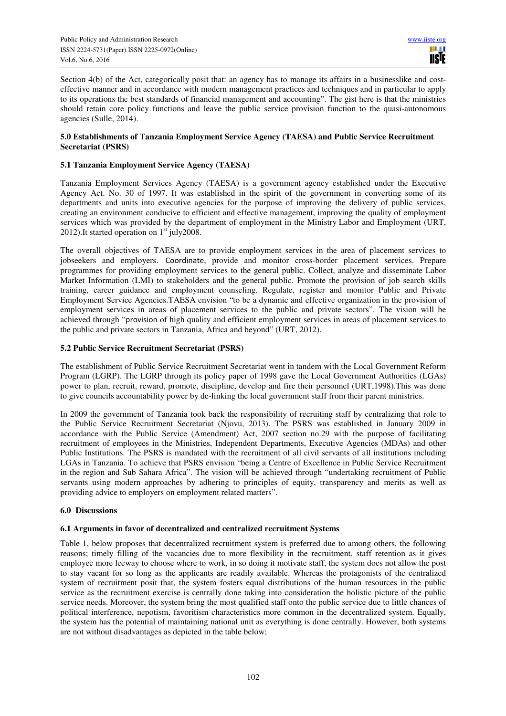Section 4(b) of the Act, categorically posit that: an agency has to manage its affairs in a businesslike and costeffective manner and in accordance with modern management practices and techniques and in particular to apply to its operations the best standards of financial management and accounting". The gist here is that the ministries should retain core policy functions and leave the public service provision function to the quasi-autonomous agencies (Sulle, 2014).

# **5.0 Establishments of Tanzania Employment Service Agency (TAESA) and Public Service Recruitment Secretariat (PSRS)**

# **5.1 Tanzania Employment Service Agency (TAESA)**

Tanzania Employment Services Agency (TAESA) is a government agency established under the Executive Agency Act. No. 30 of 1997. It was established in the spirit of the government in converting some of its departments and units into executive agencies for the purpose of improving the delivery of public services, creating an environment conducive to efficient and effective management, improving the quality of employment services which was provided by the department of employment in the Ministry Labor and Employment (URT, 2012).It started operation on  $1<sup>st</sup>$  july2008.

The overall objectives of TAESA are to provide employment services in the area of placement services to jobseekers and employers. Coordinate, provide and monitor cross-border placement services. Prepare programmes for providing employment services to the general public. Collect, analyze and disseminate Labor Market Information (LMI) to stakeholders and the general public. Promote the provision of job search skills training, career guidance and employment counseling. Regulate, register and monitor Public and Private Employment Service Agencies.TAESA envision "to be a dynamic and effective organization in the provision of employment services in areas of placement services to the public and private sectors". The vision will be achieved through "provision of high quality and efficient employment services in areas of placement services to the public and private sectors in Tanzania, Africa and beyond" (URT, 2012).

## **5.2 Public Service Recruitment Secretariat (PSRS)**

The establishment of Public Service Recruitment Secretariat went in tandem with the Local Government Reform Program (LGRP). The LGRP through its policy paper of 1998 gave the Local Government Authorities (LGAs) power to plan, recruit, reward, promote, discipline, develop and fire their personnel (URT,1998).This was done to give councils accountability power by de-linking the local government staff from their parent ministries.

In 2009 the government of Tanzania took back the responsibility of recruiting staff by centralizing that role to the Public Service Recruitment Secretariat (Njovu, 2013). The PSRS was established in January 2009 in accordance with the Public Service (Amendment) Act, 2007 section no.29 with the purpose of facilitating recruitment of employees in the Ministries, Independent Departments, Executive Agencies (MDAs) and other Public Institutions. The PSRS is mandated with the recruitment of all civil servants of all institutions including LGAs in Tanzania. To achieve that PSRS envision "being a Centre of Excellence in Public Service Recruitment in the region and Sub Sahara Africa". The vision will be achieved through "undertaking recruitment of Public servants using modern approaches by adhering to principles of equity, transparency and merits as well as providing advice to employers on employment related matters".

#### **6.0 Discussions**

#### **6.1 Arguments in favor of decentralized and centralized recruitment Systems**

Table 1, below proposes that decentralized recruitment system is preferred due to among others, the following reasons; timely filling of the vacancies due to more flexibility in the recruitment, staff retention as it gives employee more leeway to choose where to work, in so doing it motivate staff, the system does not allow the post to stay vacant for so long as the applicants are readily available. Whereas the protagonists of the centralized system of recruitment posit that, the system fosters equal distributions of the human resources in the public service as the recruitment exercise is centrally done taking into consideration the holistic picture of the public service needs. Moreover, the system bring the most qualified staff onto the public service due to little chances of political interference, nepotism, favoritism characteristics more common in the decentralized system. Equally, the system has the potential of maintaining national unit as everything is done centrally. However, both systems are not without disadvantages as depicted in the table below;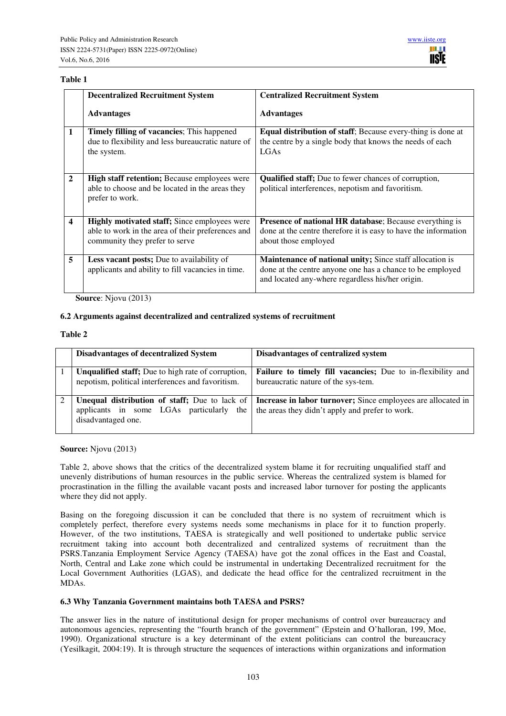# **Table 1**

|                         | <b>Decentralized Recruitment System</b>                                                                                                    | <b>Centralized Recruitment System</b>                                                                                                                                     |
|-------------------------|--------------------------------------------------------------------------------------------------------------------------------------------|---------------------------------------------------------------------------------------------------------------------------------------------------------------------------|
|                         | <b>Advantages</b>                                                                                                                          | <b>Advantages</b>                                                                                                                                                         |
| 1                       | Timely filling of vacancies; This happened<br>due to flexibility and less bureaucratic nature of<br>the system.                            | <b>Equal distribution of staff</b> ; Because every-thing is done at<br>the centre by a single body that knows the needs of each<br>LGAs                                   |
| $\mathbf{2}$            | <b>High staff retention; Because employees were</b><br>able to choose and be located in the areas they<br>prefer to work.                  | <b>Qualified staff;</b> Due to fewer chances of corruption,<br>political interferences, nepotism and favoritism.                                                          |
| $\overline{\mathbf{4}}$ | <b>Highly motivated staff; Since employees were</b><br>able to work in the area of their preferences and<br>community they prefer to serve | <b>Presence of national HR database; Because everything is</b><br>done at the centre therefore it is easy to have the information<br>about those employed                 |
| 5                       | Less vacant posts; Due to availability of<br>applicants and ability to fill vacancies in time.<br>$\mathbf{X}$<br>(0.012)                  | Maintenance of national unity; Since staff allocation is<br>done at the centre anyone one has a chance to be employed<br>and located any-where regardless his/her origin. |

**Source**: Njovu (2013)

# **6.2 Arguments against decentralized and centralized systems of recruitment**

# **Table 2**

| <b>Disadvantages of decentralized System</b>                                                                           | Disadvantages of centralized system                                                                                      |
|------------------------------------------------------------------------------------------------------------------------|--------------------------------------------------------------------------------------------------------------------------|
| <b>Unqualified staff;</b> Due to high rate of corruption,<br>nepotism, political interferences and favoritism.         | Failure to timely fill vacancies; Due to in-flexibility and<br>bureaucratic nature of the sys-tem.                       |
| applicants in some LGAs particularly the $\vert$ the areas they didn't apply and prefer to work.<br>disadvantaged one. | <b>Unequal distribution of staff;</b> Due to lack of <b>Increase in labor turnover;</b> Since employees are allocated in |

**Source:** Njovu (2013)

Table 2, above shows that the critics of the decentralized system blame it for recruiting unqualified staff and unevenly distributions of human resources in the public service. Whereas the centralized system is blamed for procrastination in the filling the available vacant posts and increased labor turnover for posting the applicants where they did not apply.

Basing on the foregoing discussion it can be concluded that there is no system of recruitment which is completely perfect, therefore every systems needs some mechanisms in place for it to function properly. However, of the two institutions, TAESA is strategically and well positioned to undertake public service recruitment taking into account both decentralized and centralized systems of recruitment than the PSRS.Tanzania Employment Service Agency (TAESA) have got the zonal offices in the East and Coastal, North, Central and Lake zone which could be instrumental in undertaking Decentralized recruitment for the Local Government Authorities (LGAS), and dedicate the head office for the centralized recruitment in the MDAs.

# **6.3 Why Tanzania Government maintains both TAESA and PSRS?**

The answer lies in the nature of institutional design for proper mechanisms of control over bureaucracy and autonomous agencies, representing the "fourth branch of the government" (Epstein and O'halloran, 199, Moe, 1990). Organizational structure is a key determinant of the extent politicians can control the bureaucracy (Yesilkagit, 2004:19). It is through structure the sequences of interactions within organizations and information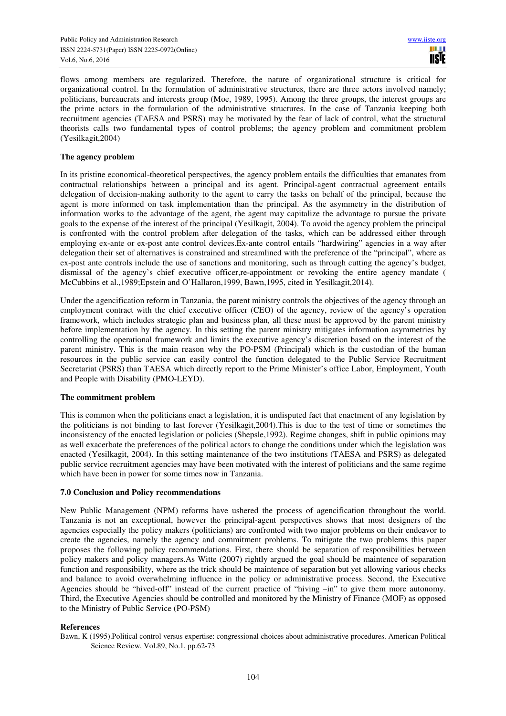flows among members are regularized. Therefore, the nature of organizational structure is critical for organizational control. In the formulation of administrative structures, there are three actors involved namely; politicians, bureaucrats and interests group (Moe, 1989, 1995). Among the three groups, the interest groups are the prime actors in the formulation of the administrative structures. In the case of Tanzania keeping both recruitment agencies (TAESA and PSRS) may be motivated by the fear of lack of control, what the structural theorists calls two fundamental types of control problems; the agency problem and commitment problem (Yesilkagit,2004)

## **The agency problem**

In its pristine economical-theoretical perspectives, the agency problem entails the difficulties that emanates from contractual relationships between a principal and its agent. Principal-agent contractual agreement entails delegation of decision-making authority to the agent to carry the tasks on behalf of the principal, because the agent is more informed on task implementation than the principal. As the asymmetry in the distribution of information works to the advantage of the agent, the agent may capitalize the advantage to pursue the private goals to the expense of the interest of the principal (Yesilkagit, 2004). To avoid the agency problem the principal is confronted with the control problem after delegation of the tasks, which can be addressed either through employing ex-ante or ex-post ante control devices.Ex-ante control entails "hardwiring" agencies in a way after delegation their set of alternatives is constrained and streamlined with the preference of the "principal", where as ex-post ante controls include the use of sanctions and monitoring, such as through cutting the agency's budget, dismissal of the agency's chief executive officer,re-appointment or revoking the entire agency mandate ( McCubbins et al.,1989;Epstein and O'Hallaron,1999, Bawn,1995, cited in Yesilkagit,2014).

Under the agencification reform in Tanzania, the parent ministry controls the objectives of the agency through an employment contract with the chief executive officer (CEO) of the agency, review of the agency's operation framework, which includes strategic plan and business plan, all these must be approved by the parent ministry before implementation by the agency. In this setting the parent ministry mitigates information asymmetries by controlling the operational framework and limits the executive agency's discretion based on the interest of the parent ministry. This is the main reason why the PO-PSM (Principal) which is the custodian of the human resources in the public service can easily control the function delegated to the Public Service Recruitment Secretariat (PSRS) than TAESA which directly report to the Prime Minister's office Labor, Employment, Youth and People with Disability (PMO-LEYD).

#### **The commitment problem**

This is common when the politicians enact a legislation, it is undisputed fact that enactment of any legislation by the politicians is not binding to last forever (Yesilkagit,2004).This is due to the test of time or sometimes the inconsistency of the enacted legislation or policies (Shepsle,1992). Regime changes, shift in public opinions may as well exacerbate the preferences of the political actors to change the conditions under which the legislation was enacted (Yesilkagit, 2004). In this setting maintenance of the two institutions (TAESA and PSRS) as delegated public service recruitment agencies may have been motivated with the interest of politicians and the same regime which have been in power for some times now in Tanzania.

# **7.0 Conclusion and Policy recommendations**

New Public Management (NPM) reforms have ushered the process of agencification throughout the world. Tanzania is not an exceptional, however the principal-agent perspectives shows that most designers of the agencies especially the policy makers (politicians) are confronted with two major problems on their endeavor to create the agencies, namely the agency and commitment problems. To mitigate the two problems this paper proposes the following policy recommendations. First, there should be separation of responsibilities between policy makers and policy managers.As Witte (2007) rightly argued the goal should be maintence of separation function and responsibility, where as the trick should be maintence of separation but yet allowing various checks and balance to avoid overwhelming influence in the policy or administrative process. Second, the Executive Agencies should be "hived-off" instead of the current practice of "hiving –in" to give them more autonomy. Third, the Executive Agencies should be controlled and monitored by the Ministry of Finance (MOF) as opposed to the Ministry of Public Service (PO-PSM)

#### **References**

Bawn, K (1995).Political control versus expertise: congressional choices about administrative procedures. American Political Science Review, Vol.89, No.1, pp.62-73